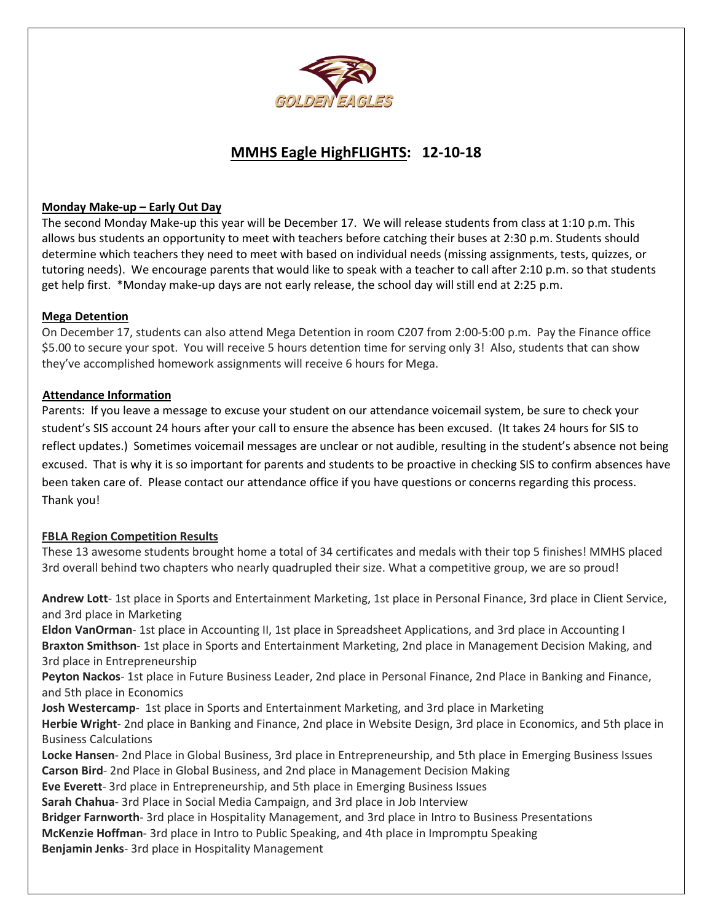

## **MMHS Eagle HighFLIGHTS: 12-10-18**

## **Monday Make-up – Early Out Day**

The second Monday Make-up this year will be December 17. We will release students from class at 1:10 p.m. This allows bus students an opportunity to meet with teachers before catching their buses at 2:30 p.m. Students should determine which teachers they need to meet with based on individual needs (missing assignments, tests, quizzes, or tutoring needs). We encourage parents that would like to speak with a teacher to call after 2:10 p.m. so that students get help first. \*Monday make-up days are not early release, the school day will still end at 2:25 p.m.

## **Mega Detention**

On December 17, students can also attend Mega Detention in room C207 from 2:00-5:00 p.m. Pay the Finance office \$5.00 to secure your spot. You will receive 5 hours detention time for serving only 3! Also, students that can show they've accomplished homework assignments will receive 6 hours for Mega.

## **Attendance Information**

Parents: If you leave a message to excuse your student on our attendance voicemail system, be sure to check your student's SIS account 24 hours after your call to ensure the absence has been excused. (It takes 24 hours for SIS to reflect updates.) Sometimes voicemail messages are unclear or not audible, resulting in the student's absence not being excused. That is why it is so important for parents and students to be proactive in checking SIS to confirm absences have been taken care of. Please contact our attendance office if you have questions or concerns regarding this process. Thank you!

## **FBLA Region Competition Results**

These 13 awesome students brought home a total of 34 certificates and medals with their top 5 finishes! MMHS placed 3rd overall behind two chapters who nearly quadrupled their size. What a competitive group, we are so proud!

**Andrew Lott**- 1st place in Sports and Entertainment Marketing, 1st place in Personal Finance, 3rd place in Client Service, and 3rd place in Marketing

**Eldon VanOrman**- 1st place in Accounting II, 1st place in Spreadsheet Applications, and 3rd place in Accounting I **Braxton Smithson**- 1st place in Sports and Entertainment Marketing, 2nd place in Management Decision Making, and 3rd place in Entrepreneurship

**Peyton Nackos**- 1st place in Future Business Leader, 2nd place in Personal Finance, 2nd Place in Banking and Finance, and 5th place in Economics

**Josh Westercamp**- 1st place in Sports and Entertainment Marketing, and 3rd place in Marketing

**Herbie Wright**- 2nd place in Banking and Finance, 2nd place in Website Design, 3rd place in Economics, and 5th place in Business Calculations

**Locke Hansen**- 2nd Place in Global Business, 3rd place in Entrepreneurship, and 5th place in Emerging Business Issues **Carson Bird**- 2nd Place in Global Business, and 2nd place in Management Decision Making

**Eve Everett**- 3rd place in Entrepreneurship, and 5th place in Emerging Business Issues

**Sarah Chahua**- 3rd Place in Social Media Campaign, and 3rd place in Job Interview

**Bridger Farnworth**- 3rd place in Hospitality Management, and 3rd place in Intro to Business Presentations

**McKenzie Hoffman**- 3rd place in Intro to Public Speaking, and 4th place in Impromptu Speaking

**Benjamin Jenks**- 3rd place in Hospitality Management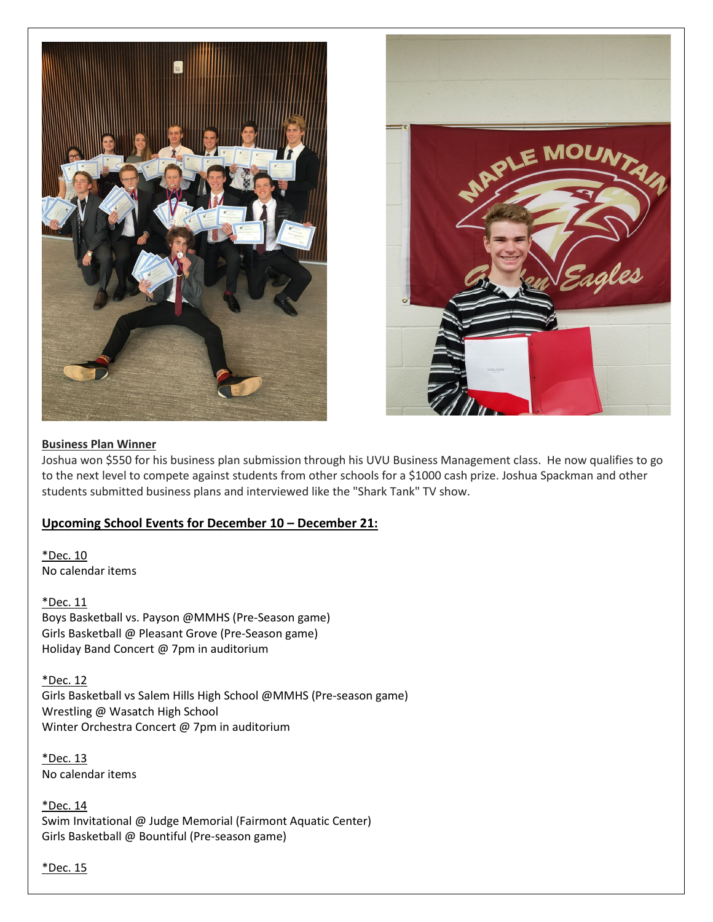



## **Business Plan Winner**

Joshua won \$550 for his business plan submission through his UVU Business Management class. He now qualifies to go to the next level to compete against students from other schools for a \$1000 cash prize. Joshua Spackman and other students submitted business plans and interviewed like the "Shark Tank" TV show.

## **Upcoming School Events for December 10 – December 21:**

\*Dec. 10 No calendar items

\*Dec. 11 Boys Basketball vs. Payson @MMHS (Pre-Season game) Girls Basketball @ Pleasant Grove (Pre-Season game) Holiday Band Concert @ 7pm in auditorium

\*Dec. 12 Girls Basketball vs Salem Hills High School @MMHS (Pre-season game) Wrestling @ Wasatch High School Winter Orchestra Concert @ 7pm in auditorium

\*Dec. 13 No calendar items

\*Dec. 14 Swim Invitational @ Judge Memorial (Fairmont Aquatic Center) Girls Basketball @ Bountiful (Pre-season game)

\*Dec. 15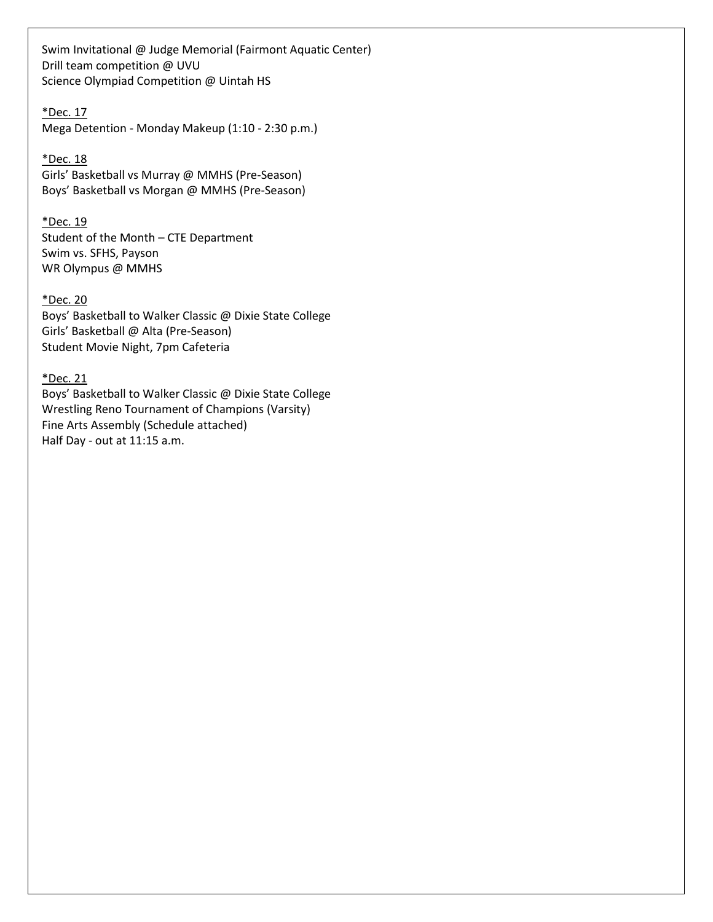Swim Invitational @ Judge Memorial (Fairmont Aquatic Center) Drill team competition @ UVU Science Olympiad Competition @ Uintah HS

## \*Dec. 17 Mega Detention - Monday Makeup (1:10 - 2:30 p.m.)

\*Dec. 18 Girls' Basketball vs Murray @ MMHS (Pre-Season) Boys' Basketball vs Morgan @ MMHS (Pre-Season)

## \*Dec. 19

Student of the Month – CTE Department Swim vs. SFHS, Payson WR Olympus @ MMHS

#### \*Dec. 20

Boys' Basketball to Walker Classic @ Dixie State College Girls' Basketball @ Alta (Pre-Season) Student Movie Night, 7pm Cafeteria

## \*Dec. 21

Boys' Basketball to Walker Classic @ Dixie State College Wrestling Reno Tournament of Champions (Varsity) Fine Arts Assembly (Schedule attached) Half Day - out at 11:15 a.m.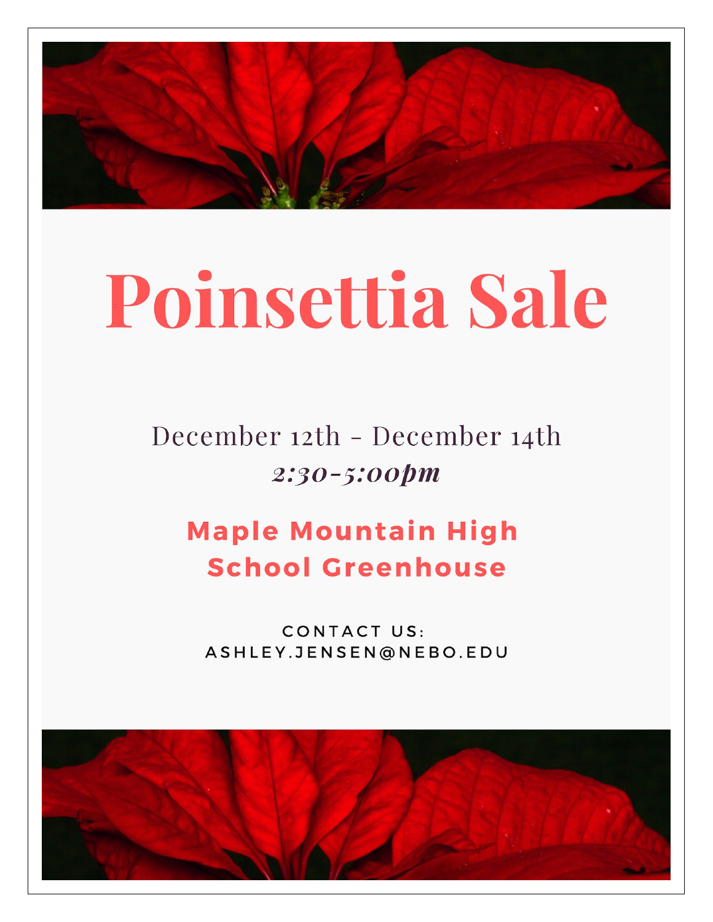

# Poinsettia Sale

December 12th - December 14th 2:30-5:00pm

## **Maple Mountain High School Greenhouse**

CONTACT US: ASHLEY.JENSEN@NEBO.EDU

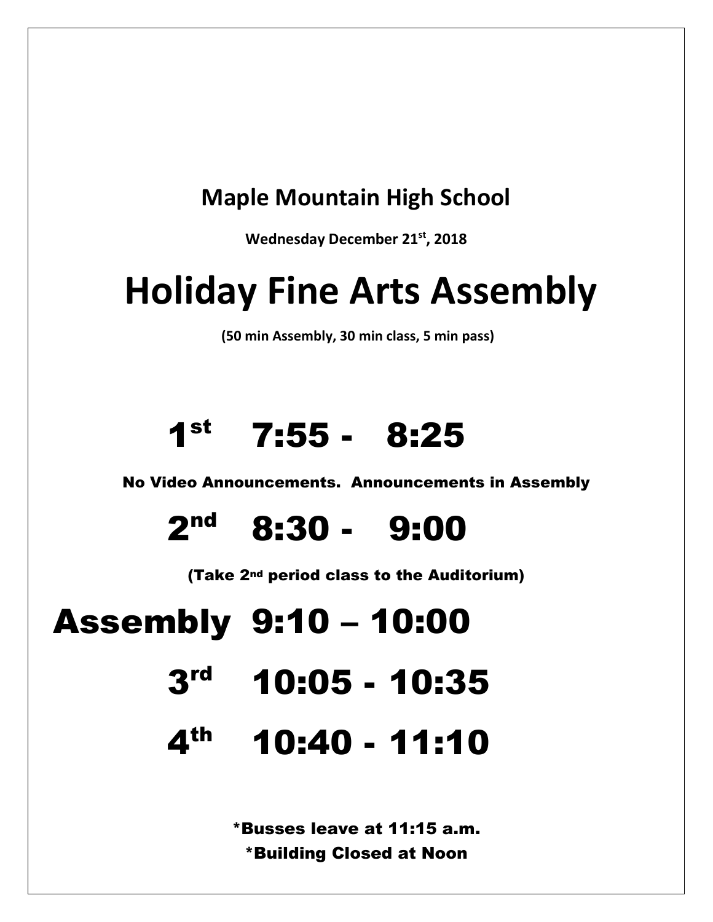## **Maple Mountain High School**

**Wednesday December 21st, 2018**

# **Holiday Fine Arts Assembly**

**(50 min Assembly, 30 min class, 5 min pass)**

# $1<sup>st</sup>$  7:55 - 8:25

No Video Announcements. Announcements in Assembly

 $2<sup>nd</sup>$  8:30 - 9:00

(Take 2nd period class to the Auditorium)

# Assembly 9:10 – 10:00

- $3<sup>rd</sup>$  10:05 10:35
- 4th 10:40 11:10

\*Busses leave at 11:15 a.m. \*Building Closed at Noon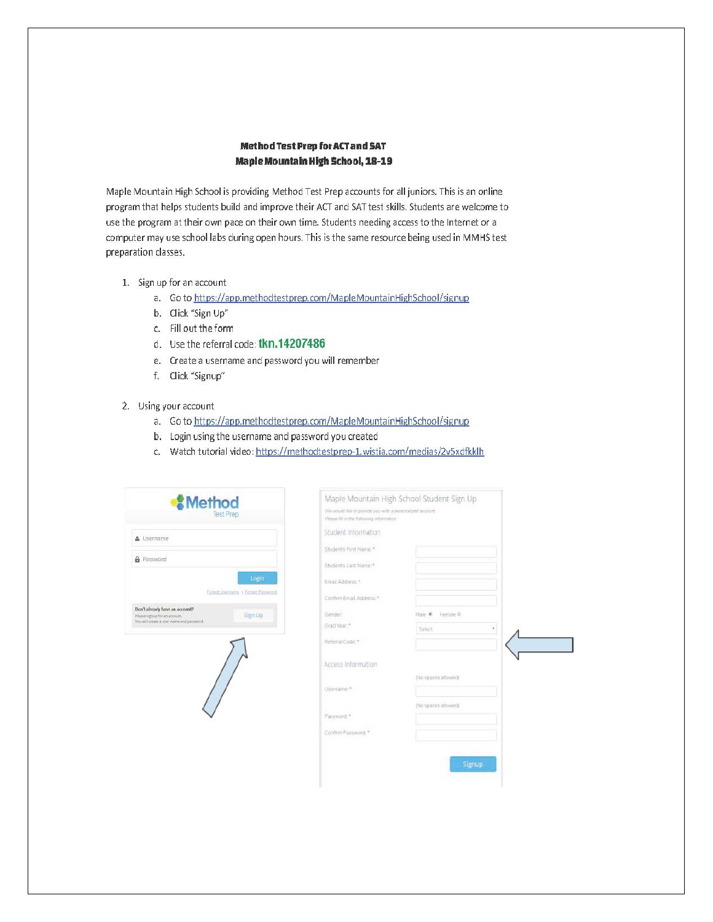#### Method Test Prep for ACT and SAT **Maple Mountain High School, 18-19**

Maple Mountain High School is providing Method Test Prep accounts for all juniors. This is an online program that helps students build and improve their ACT and SAT test skills. Students are welcome to use the program at their own pace on their own time. Students needing access to the Internet or a computer may use school labs during open hours. This is the same resource being used in MMHS test preparation classes.

- 1. Sign up for an account
	- a. Go to https://app.methodtestprep.com/MapleMountainHighSchool/signup
	- b. Click "Sign Up"
	- c. Fill out the form
	- d. Use the referral code: tkn.14207486
	- e. Create a username and password you will remember
	- f. Click "Signup"

#### 2. Using your account

- a. Go to https://app.methodtestprep.com/MapleMountainHighSchool/signup
- b. Login using the username and password you created
- c. Watch tutorial video: https://methodtestprep-1.wistia.com/medias/2v5xdfkklh

| <b><i><u></u></i></b> Method<br><b>Test Prep</b>                                                                         | We would like to princile you with a personalized account<br>Please Att in the following information. | Maple Mountain High School Student Sign Up |  |
|--------------------------------------------------------------------------------------------------------------------------|-------------------------------------------------------------------------------------------------------|--------------------------------------------|--|
| & Username                                                                                                               | Student Information                                                                                   |                                            |  |
|                                                                                                                          | Student's First Name *                                                                                |                                            |  |
| <b>A</b> Password<br>Login                                                                                               | Student's Last Name: f                                                                                |                                            |  |
|                                                                                                                          | Email Address."                                                                                       |                                            |  |
| Forgot Username 1 Torgot Password                                                                                        | Confum Email Address."                                                                                |                                            |  |
| Don't already have an account?<br>Sign Up<br>Please signity for an account.<br>You will create a user name and paraword. | Gender:                                                                                               | Female III<br>Male ®                       |  |
|                                                                                                                          | Grad Year, <sup>8</sup>                                                                               | Select<br>٠                                |  |
|                                                                                                                          | Referral Code: *                                                                                      |                                            |  |
|                                                                                                                          | Access Information                                                                                    |                                            |  |
|                                                                                                                          |                                                                                                       | (No spaces allowed)                        |  |
|                                                                                                                          | Usintame *                                                                                            |                                            |  |
|                                                                                                                          |                                                                                                       | No spaces allowed)                         |  |
|                                                                                                                          | Password."                                                                                            |                                            |  |
|                                                                                                                          | Confirm Password: *                                                                                   |                                            |  |
|                                                                                                                          |                                                                                                       |                                            |  |
|                                                                                                                          |                                                                                                       | Signup                                     |  |
|                                                                                                                          |                                                                                                       |                                            |  |